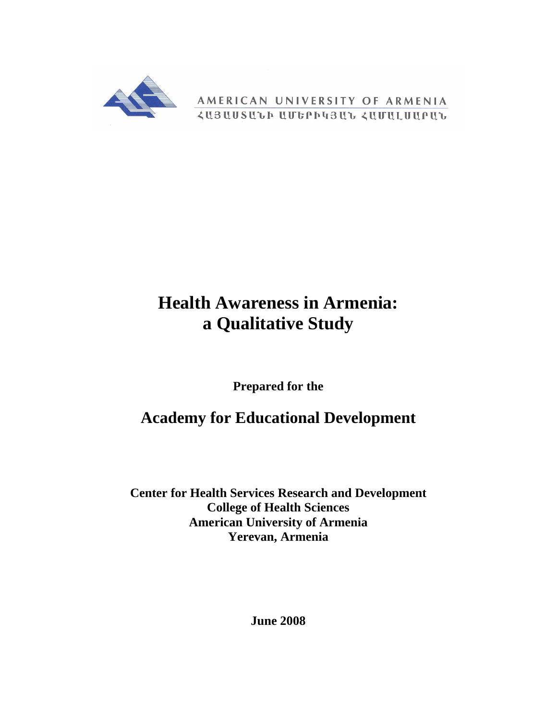

AMERICAN UNIVERSITY OF ARMENIA *<u>ZUBUUSULP UUGPP4BUL ZUUULUUPUL</u>* 

# **Health Awareness in Armenia: a Qualitative Study**

**Prepared for the** 

**Academy for Educational Development** 

**Center for Health Services Research and Development College of Health Sciences American University of Armenia Yerevan, Armenia** 

**June 2008**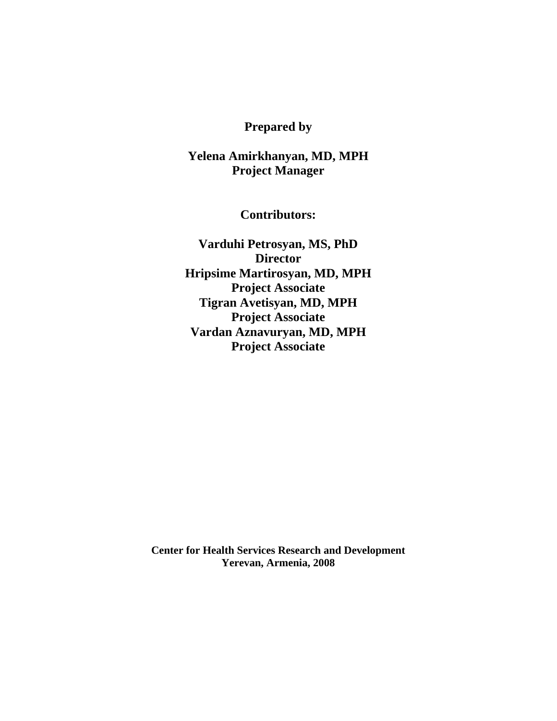## **Prepared by**

## **Yelena Amirkhanyan, MD, MPH Project Manager**

**Contributors:** 

**Varduhi Petrosyan, MS, PhD Director Hripsime Martirosyan, MD, MPH Project Associate Tigran Avetisyan, MD, MPH Project Associate Vardan Aznavuryan, MD, MPH Project Associate** 

**Center for Health Services Research and Development Yerevan, Armenia, 2008**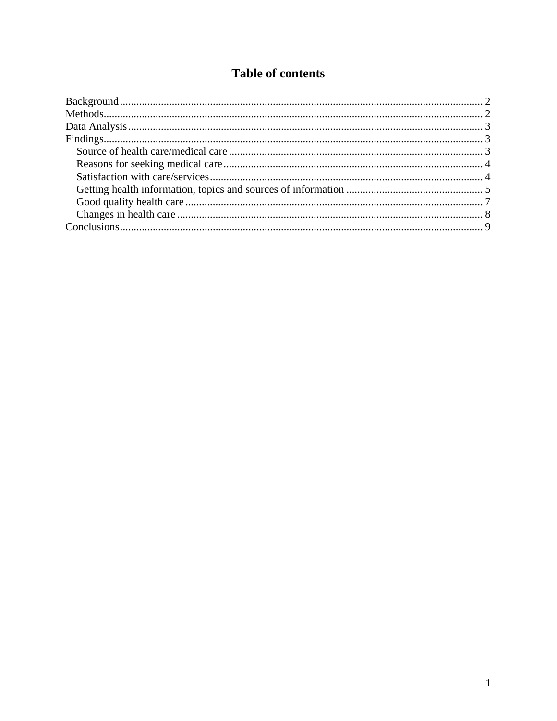## **Table of contents**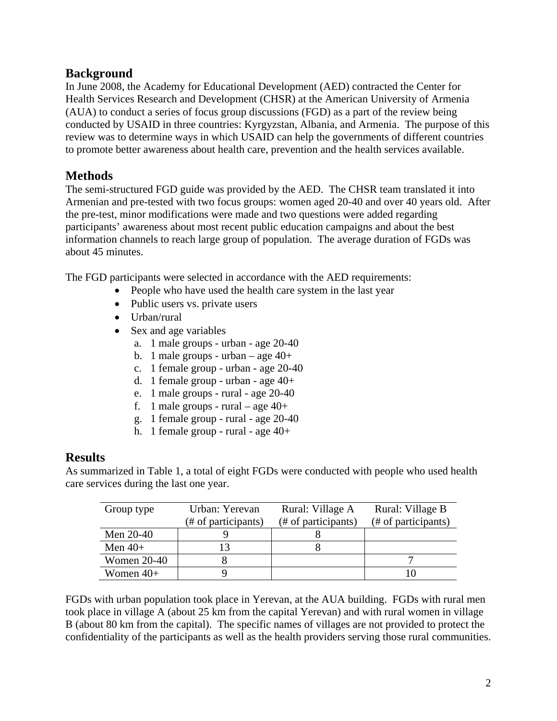## **Background**

In June 2008, the Academy for Educational Development (AED) contracted the Center for Health Services Research and Development (CHSR) at the American University of Armenia (AUA) to conduct a series of focus group discussions (FGD) as a part of the review being conducted by USAID in three countries: Kyrgyzstan, Albania, and Armenia. The purpose of this review was to determine ways in which USAID can help the governments of different countries to promote better awareness about health care, prevention and the health services available.

## **Methods**

The semi-structured FGD guide was provided by the AED. The CHSR team translated it into Armenian and pre-tested with two focus groups: women aged 20-40 and over 40 years old. After the pre-test, minor modifications were made and two questions were added regarding participants' awareness about most recent public education campaigns and about the best information channels to reach large group of population. The average duration of FGDs was about 45 minutes.

The FGD participants were selected in accordance with the AED requirements:

- People who have used the health care system in the last year
- Public users vs. private users
- Urban/rural
- Sex and age variables
	- a. 1 male groups urban age 20-40
	- b. 1 male groups urban age  $40+$
	- c. 1 female group urban age 20-40
	- d. 1 female group urban age 40+
	- e. 1 male groups rural age 20-40
	- f. 1 male groups rural age  $40+$
	- g. 1 female group rural age 20-40
	- h. 1 female group rural age 40+

## **Results**

As summarized in Table 1, a total of eight FGDs were conducted with people who used health care services during the last one year.

| Group type         | Urban: Yerevan      | Rural: Village A    | Rural: Village B    |
|--------------------|---------------------|---------------------|---------------------|
|                    | (# of participants) | (# of participants) | (# of participants) |
| Men 20-40          |                     |                     |                     |
| Men $40+$          | 13                  |                     |                     |
| <b>Women 20-40</b> |                     |                     |                     |
| Women $40+$        |                     |                     |                     |

FGDs with urban population took place in Yerevan, at the AUA building. FGDs with rural men took place in village A (about 25 km from the capital Yerevan) and with rural women in village B (about 80 km from the capital). The specific names of villages are not provided to protect the confidentiality of the participants as well as the health providers serving those rural communities.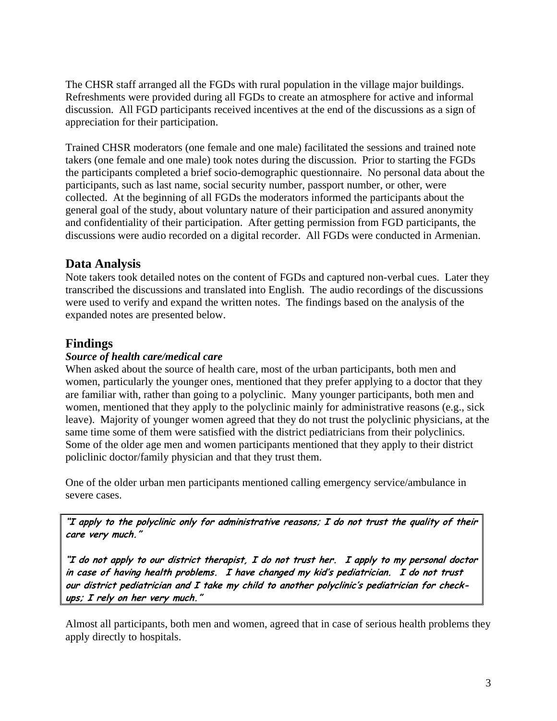The CHSR staff arranged all the FGDs with rural population in the village major buildings. Refreshments were provided during all FGDs to create an atmosphere for active and informal discussion. All FGD participants received incentives at the end of the discussions as a sign of appreciation for their participation.

Trained CHSR moderators (one female and one male) facilitated the sessions and trained note takers (one female and one male) took notes during the discussion. Prior to starting the FGDs the participants completed a brief socio-demographic questionnaire. No personal data about the participants, such as last name, social security number, passport number, or other, were collected. At the beginning of all FGDs the moderators informed the participants about the general goal of the study, about voluntary nature of their participation and assured anonymity and confidentiality of their participation. After getting permission from FGD participants, the discussions were audio recorded on a digital recorder. All FGDs were conducted in Armenian.

## **Data Analysis**

Note takers took detailed notes on the content of FGDs and captured non-verbal cues. Later they transcribed the discussions and translated into English. The audio recordings of the discussions were used to verify and expand the written notes. The findings based on the analysis of the expanded notes are presented below.

## **Findings**

#### *Source of health care/medical care*

When asked about the source of health care, most of the urban participants, both men and women, particularly the younger ones, mentioned that they prefer applying to a doctor that they are familiar with, rather than going to a polyclinic. Many younger participants, both men and women, mentioned that they apply to the polyclinic mainly for administrative reasons (e.g., sick leave). Majority of younger women agreed that they do not trust the polyclinic physicians, at the same time some of them were satisfied with the district pediatricians from their polyclinics. Some of the older age men and women participants mentioned that they apply to their district policlinic doctor/family physician and that they trust them.

One of the older urban men participants mentioned calling emergency service/ambulance in severe cases.

**"I apply to the polyclinic only for administrative reasons; I do not trust the quality of their care very much."** 

**"I do not apply to our district therapist, I do not trust her. I apply to my personal doctor in case of having health problems. I have changed my kid's pediatrician. I do not trust our district pediatrician and I take my child to another polyclinic's pediatrician for checkups; I rely on her very much."** 

Almost all participants, both men and women, agreed that in case of serious health problems they apply directly to hospitals.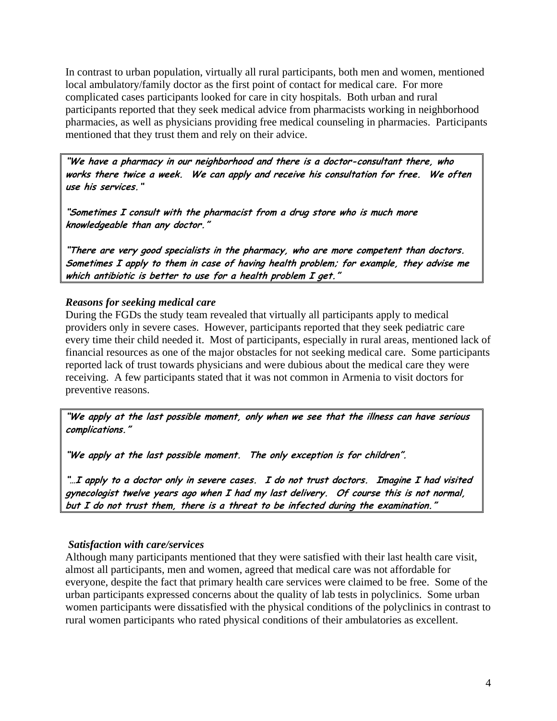In contrast to urban population, virtually all rural participants, both men and women, mentioned local ambulatory/family doctor as the first point of contact for medical care. For more complicated cases participants looked for care in city hospitals. Both urban and rural participants reported that they seek medical advice from pharmacists working in neighborhood pharmacies, as well as physicians providing free medical counseling in pharmacies. Participants mentioned that they trust them and rely on their advice.

**"We have a pharmacy in our neighborhood and there is a doctor-consultant there, who works there twice a week. We can apply and receive his consultation for free. We often use his services."** 

**"Sometimes I consult with the pharmacist from a drug store who is much more knowledgeable than any doctor."** 

**"There are very good specialists in the pharmacy, who are more competent than doctors. Sometimes I apply to them in case of having health problem; for example, they advise me which antibiotic is better to use for a health problem I get."** 

#### *Reasons for seeking medical care*

During the FGDs the study team revealed that virtually all participants apply to medical providers only in severe cases. However, participants reported that they seek pediatric care every time their child needed it. Most of participants, especially in rural areas, mentioned lack of financial resources as one of the major obstacles for not seeking medical care. Some participants reported lack of trust towards physicians and were dubious about the medical care they were receiving. A few participants stated that it was not common in Armenia to visit doctors for preventive reasons.

**"We apply at the last possible moment, only when we see that the illness can have serious complications."** 

**"We apply at the last possible moment. The only exception is for children".** 

**"…I apply to a doctor only in severe cases. I do not trust doctors. Imagine I had visited gynecologist twelve years ago when I had my last delivery. Of course this is not normal, but I do not trust them, there is a threat to be infected during the examination."** 

#### *Satisfaction with care/services*

Although many participants mentioned that they were satisfied with their last health care visit, almost all participants, men and women, agreed that medical care was not affordable for everyone, despite the fact that primary health care services were claimed to be free. Some of the urban participants expressed concerns about the quality of lab tests in polyclinics. Some urban women participants were dissatisfied with the physical conditions of the polyclinics in contrast to rural women participants who rated physical conditions of their ambulatories as excellent.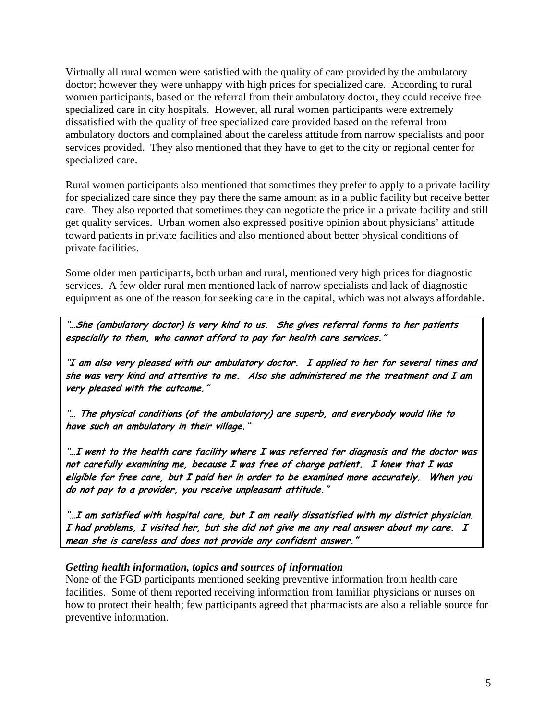Virtually all rural women were satisfied with the quality of care provided by the ambulatory doctor; however they were unhappy with high prices for specialized care. According to rural women participants, based on the referral from their ambulatory doctor, they could receive free specialized care in city hospitals. However, all rural women participants were extremely dissatisfied with the quality of free specialized care provided based on the referral from ambulatory doctors and complained about the careless attitude from narrow specialists and poor services provided. They also mentioned that they have to get to the city or regional center for specialized care.

Rural women participants also mentioned that sometimes they prefer to apply to a private facility for specialized care since they pay there the same amount as in a public facility but receive better care. They also reported that sometimes they can negotiate the price in a private facility and still get quality services. Urban women also expressed positive opinion about physicians' attitude toward patients in private facilities and also mentioned about better physical conditions of private facilities.

Some older men participants, both urban and rural, mentioned very high prices for diagnostic services. A few older rural men mentioned lack of narrow specialists and lack of diagnostic equipment as one of the reason for seeking care in the capital, which was not always affordable.

**"…She (ambulatory doctor) is very kind to us. She gives referral forms to her patients especially to them, who cannot afford to pay for health care services."** 

**"I am also very pleased with our ambulatory doctor. I applied to her for several times and she was very kind and attentive to me. Also she administered me the treatment and I am very pleased with the outcome."** 

**"… The physical conditions (of the ambulatory) are superb, and everybody would like to have such an ambulatory in their village."** 

**"…I went to the health care facility where I was referred for diagnosis and the doctor was not carefully examining me, because I was free of charge patient. I knew that I was eligible for free care, but I paid her in order to be examined more accurately. When you do not pay to a provider, you receive unpleasant attitude."** 

**"…I am satisfied with hospital care, but I am really dissatisfied with my district physician. I had problems, I visited her, but she did not give me any real answer about my care. I mean she is careless and does not provide any confident answer."** 

#### *Getting health information, topics and sources of information*

None of the FGD participants mentioned seeking preventive information from health care facilities. Some of them reported receiving information from familiar physicians or nurses on how to protect their health; few participants agreed that pharmacists are also a reliable source for preventive information.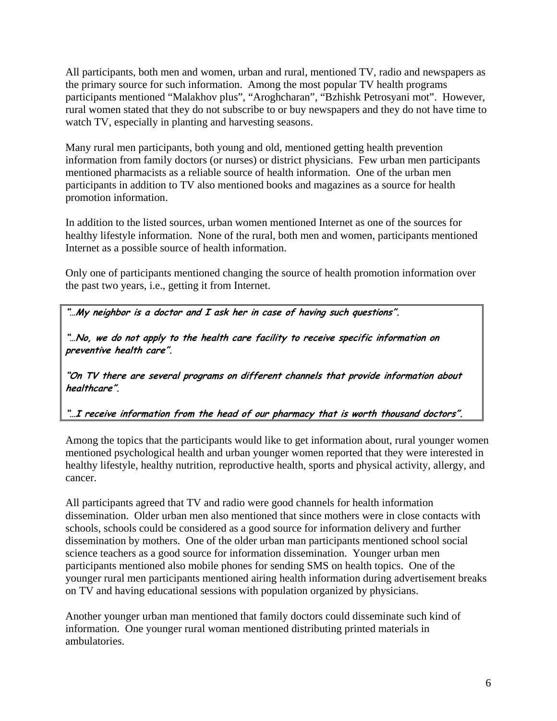All participants, both men and women, urban and rural, mentioned TV, radio and newspapers as the primary source for such information. Among the most popular TV health programs participants mentioned "Malakhov plus", "Aroghcharan", "Bzhishk Petrosyani mot". However, rural women stated that they do not subscribe to or buy newspapers and they do not have time to watch TV, especially in planting and harvesting seasons.

Many rural men participants, both young and old, mentioned getting health prevention information from family doctors (or nurses) or district physicians. Few urban men participants mentioned pharmacists as a reliable source of health information. One of the urban men participants in addition to TV also mentioned books and magazines as a source for health promotion information.

In addition to the listed sources, urban women mentioned Internet as one of the sources for healthy lifestyle information. None of the rural, both men and women, participants mentioned Internet as a possible source of health information.

Only one of participants mentioned changing the source of health promotion information over the past two years, i.e., getting it from Internet.

**"…My neighbor is a doctor and I ask her in case of having such questions".** 

**"…No, we do not apply to the health care facility to receive specific information on preventive health care".** 

**"On TV there are several programs on different channels that provide information about healthcare".** 

**"…I receive information from the head of our pharmacy that is worth thousand doctors".** 

Among the topics that the participants would like to get information about, rural younger women mentioned psychological health and urban younger women reported that they were interested in healthy lifestyle, healthy nutrition, reproductive health, sports and physical activity, allergy, and cancer.

All participants agreed that TV and radio were good channels for health information dissemination. Older urban men also mentioned that since mothers were in close contacts with schools, schools could be considered as a good source for information delivery and further dissemination by mothers. One of the older urban man participants mentioned school social science teachers as a good source for information dissemination. Younger urban men participants mentioned also mobile phones for sending SMS on health topics. One of the younger rural men participants mentioned airing health information during advertisement breaks on TV and having educational sessions with population organized by physicians.

Another younger urban man mentioned that family doctors could disseminate such kind of information. One younger rural woman mentioned distributing printed materials in ambulatories.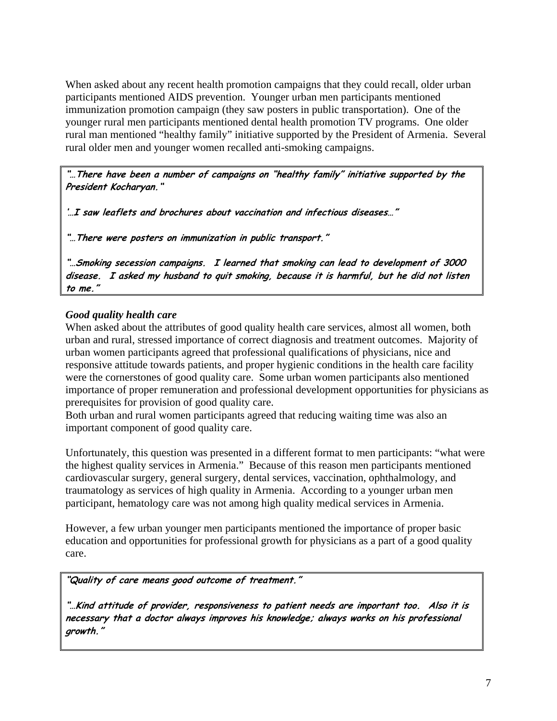When asked about any recent health promotion campaigns that they could recall, older urban participants mentioned AIDS prevention. Younger urban men participants mentioned immunization promotion campaign (they saw posters in public transportation). One of the younger rural men participants mentioned dental health promotion TV programs. One older rural man mentioned "healthy family" initiative supported by the President of Armenia. Several rural older men and younger women recalled anti-smoking campaigns.

**"…There have been a number of campaigns on "healthy family" initiative supported by the President Kocharyan."** 

**'…I saw leaflets and brochures about vaccination and infectious diseases…"** 

**"…There were posters on immunization in public transport."** 

**"…Smoking secession campaigns. I learned that smoking can lead to development of 3000 disease. I asked my husband to quit smoking, because it is harmful, but he did not listen to me."** 

#### *Good quality health care*

When asked about the attributes of good quality health care services, almost all women, both urban and rural, stressed importance of correct diagnosis and treatment outcomes. Majority of urban women participants agreed that professional qualifications of physicians, nice and responsive attitude towards patients, and proper hygienic conditions in the health care facility were the cornerstones of good quality care. Some urban women participants also mentioned importance of proper remuneration and professional development opportunities for physicians as prerequisites for provision of good quality care.

Both urban and rural women participants agreed that reducing waiting time was also an important component of good quality care.

Unfortunately, this question was presented in a different format to men participants: "what were the highest quality services in Armenia." Because of this reason men participants mentioned cardiovascular surgery, general surgery, dental services, vaccination, ophthalmology, and traumatology as services of high quality in Armenia. According to a younger urban men participant, hematology care was not among high quality medical services in Armenia.

However, a few urban younger men participants mentioned the importance of proper basic education and opportunities for professional growth for physicians as a part of a good quality care.

#### **"Quality of care means good outcome of treatment."**

**"…Kind attitude of provider, responsiveness to patient needs are important too. Also it is necessary that a doctor always improves his knowledge; always works on his professional growth."**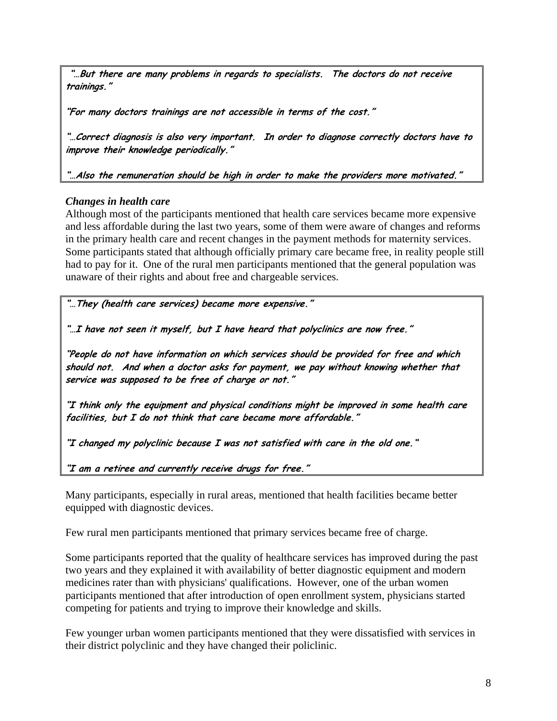**"…But there are many problems in regards to specialists. The doctors do not receive trainings."** 

**"For many doctors trainings are not accessible in terms of the cost."** 

**"…Correct diagnosis is also very important. In order to diagnose correctly doctors have to improve their knowledge periodically."** 

**"…Also the remuneration should be high in order to make the providers more motivated."** 

#### *Changes in health care*

Although most of the participants mentioned that health care services became more expensive and less affordable during the last two years, some of them were aware of changes and reforms in the primary health care and recent changes in the payment methods for maternity services. Some participants stated that although officially primary care became free, in reality people still had to pay for it. One of the rural men participants mentioned that the general population was unaware of their rights and about free and chargeable services.

**"…They (health care services) became more expensive."** 

**"…I have not seen it myself, but I have heard that polyclinics are now free."** 

**"People do not have information on which services should be provided for free and which should not. And when a doctor asks for payment, we pay without knowing whether that service was supposed to be free of charge or not."** 

**"I think only the equipment and physical conditions might be improved in some health care facilities, but I do not think that care became more affordable."** 

**"I changed my polyclinic because I was not satisfied with care in the old one."** 

**"I am a retiree and currently receive drugs for free."** 

Many participants, especially in rural areas, mentioned that health facilities became better equipped with diagnostic devices.

Few rural men participants mentioned that primary services became free of charge.

Some participants reported that the quality of healthcare services has improved during the past two years and they explained it with availability of better diagnostic equipment and modern medicines rater than with physicians' qualifications. However, one of the urban women participants mentioned that after introduction of open enrollment system, physicians started competing for patients and trying to improve their knowledge and skills.

Few younger urban women participants mentioned that they were dissatisfied with services in their district polyclinic and they have changed their policlinic.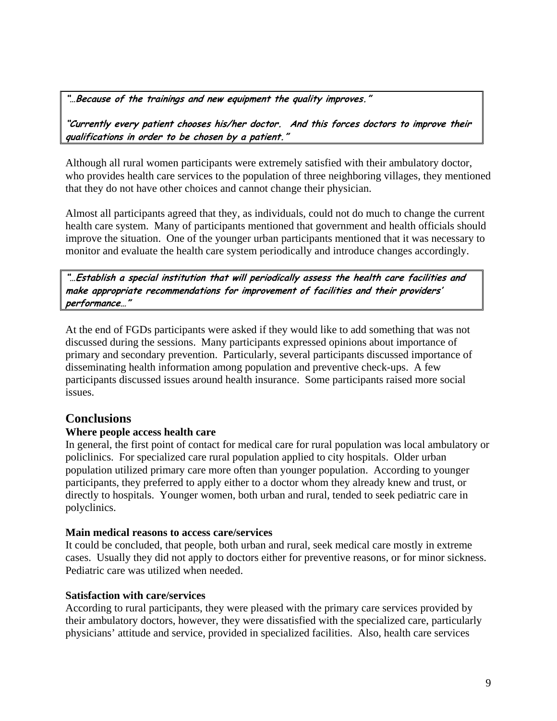**"…Because of the trainings and new equipment the quality improves."** 

**"Currently every patient chooses his/her doctor. And this forces doctors to improve their qualifications in order to be chosen by a patient."** 

Although all rural women participants were extremely satisfied with their ambulatory doctor, who provides health care services to the population of three neighboring villages, they mentioned that they do not have other choices and cannot change their physician.

Almost all participants agreed that they, as individuals, could not do much to change the current health care system. Many of participants mentioned that government and health officials should improve the situation. One of the younger urban participants mentioned that it was necessary to monitor and evaluate the health care system periodically and introduce changes accordingly.

**"…Establish a special institution that will periodically assess the health care facilities and make appropriate recommendations for improvement of facilities and their providers' performance…"** 

At the end of FGDs participants were asked if they would like to add something that was not discussed during the sessions. Many participants expressed opinions about importance of primary and secondary prevention. Particularly, several participants discussed importance of disseminating health information among population and preventive check-ups. A few participants discussed issues around health insurance. Some participants raised more social issues.

## **Conclusions**

#### **Where people access health care**

In general, the first point of contact for medical care for rural population was local ambulatory or policlinics. For specialized care rural population applied to city hospitals. Older urban population utilized primary care more often than younger population. According to younger participants, they preferred to apply either to a doctor whom they already knew and trust, or directly to hospitals. Younger women, both urban and rural, tended to seek pediatric care in polyclinics.

#### **Main medical reasons to access care/services**

It could be concluded, that people, both urban and rural, seek medical care mostly in extreme cases. Usually they did not apply to doctors either for preventive reasons, or for minor sickness. Pediatric care was utilized when needed.

#### **Satisfaction with care/services**

According to rural participants, they were pleased with the primary care services provided by their ambulatory doctors, however, they were dissatisfied with the specialized care, particularly physicians' attitude and service, provided in specialized facilities. Also, health care services